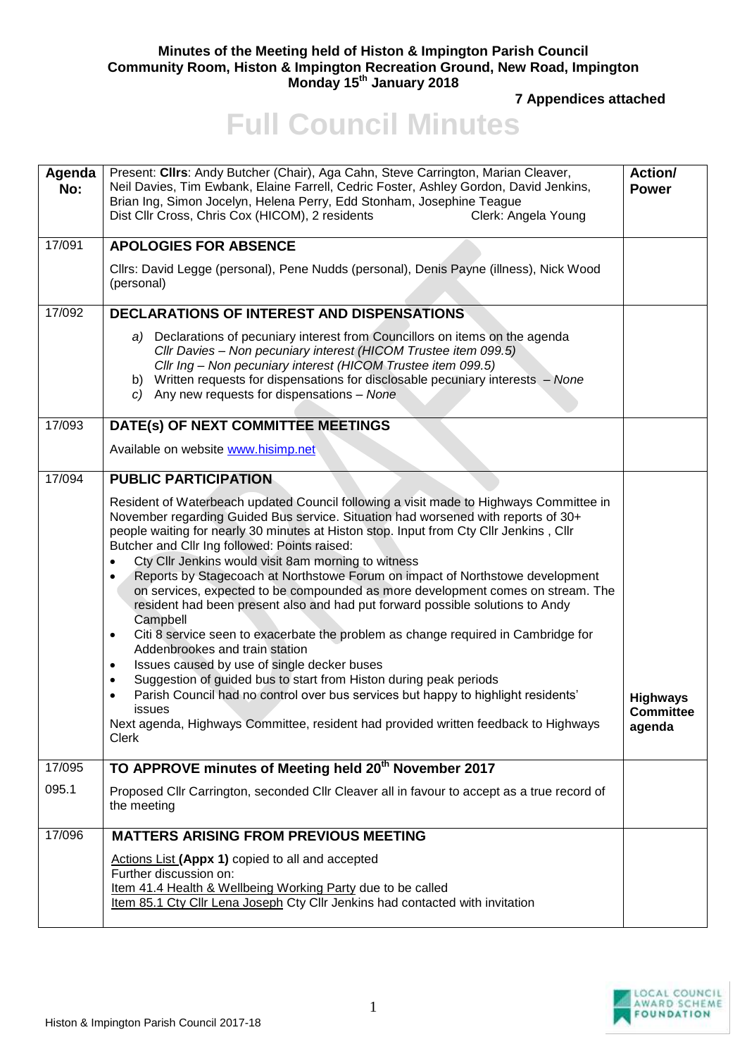## **Minutes of the Meeting held of Histon & Impington Parish Council Community Room, Histon & Impington Recreation Ground, New Road, Impington Monday 15th January 2018**

**7 Appendices attached** 

## **Full Council Minutes**

| Agenda<br>No: | Present: Clirs: Andy Butcher (Chair), Aga Cahn, Steve Carrington, Marian Cleaver,<br>Neil Davies, Tim Ewbank, Elaine Farrell, Cedric Foster, Ashley Gordon, David Jenkins,<br>Brian Ing, Simon Jocelyn, Helena Perry, Edd Stonham, Josephine Teague<br>Dist Cllr Cross, Chris Cox (HICOM), 2 residents<br>Clerk: Angela Young                                                                                                                                                                                                                                                                                                                                                                                                                                                                                                                                                                                                                                                                                                                                                                                                          | Action/<br><b>Power</b>                       |
|---------------|----------------------------------------------------------------------------------------------------------------------------------------------------------------------------------------------------------------------------------------------------------------------------------------------------------------------------------------------------------------------------------------------------------------------------------------------------------------------------------------------------------------------------------------------------------------------------------------------------------------------------------------------------------------------------------------------------------------------------------------------------------------------------------------------------------------------------------------------------------------------------------------------------------------------------------------------------------------------------------------------------------------------------------------------------------------------------------------------------------------------------------------|-----------------------------------------------|
| 17/091        | <b>APOLOGIES FOR ABSENCE</b>                                                                                                                                                                                                                                                                                                                                                                                                                                                                                                                                                                                                                                                                                                                                                                                                                                                                                                                                                                                                                                                                                                           |                                               |
|               | Cllrs: David Legge (personal), Pene Nudds (personal), Denis Payne (illness), Nick Wood<br>(personal)                                                                                                                                                                                                                                                                                                                                                                                                                                                                                                                                                                                                                                                                                                                                                                                                                                                                                                                                                                                                                                   |                                               |
| 17/092        | <b>DECLARATIONS OF INTEREST AND DISPENSATIONS</b>                                                                                                                                                                                                                                                                                                                                                                                                                                                                                                                                                                                                                                                                                                                                                                                                                                                                                                                                                                                                                                                                                      |                                               |
|               | a) Declarations of pecuniary interest from Councillors on items on the agenda<br>Cllr Davies - Non pecuniary interest (HICOM Trustee item 099.5)<br>Cllr Ing - Non pecuniary interest (HICOM Trustee item 099.5)<br>b) Written requests for dispensations for disclosable pecuniary interests - None<br>$c)$ Any new requests for dispensations - None                                                                                                                                                                                                                                                                                                                                                                                                                                                                                                                                                                                                                                                                                                                                                                                 |                                               |
| 17/093        | DATE(s) OF NEXT COMMITTEE MEETINGS                                                                                                                                                                                                                                                                                                                                                                                                                                                                                                                                                                                                                                                                                                                                                                                                                                                                                                                                                                                                                                                                                                     |                                               |
|               | Available on website www.hisimp.net                                                                                                                                                                                                                                                                                                                                                                                                                                                                                                                                                                                                                                                                                                                                                                                                                                                                                                                                                                                                                                                                                                    |                                               |
| 17/094        | <b>PUBLIC PARTICIPATION</b>                                                                                                                                                                                                                                                                                                                                                                                                                                                                                                                                                                                                                                                                                                                                                                                                                                                                                                                                                                                                                                                                                                            |                                               |
|               | Resident of Waterbeach updated Council following a visit made to Highways Committee in<br>November regarding Guided Bus service. Situation had worsened with reports of 30+<br>people waiting for nearly 30 minutes at Histon stop. Input from Cty Cllr Jenkins, Cllr<br>Butcher and Cllr Ing followed: Points raised:<br>Cty Cllr Jenkins would visit 8am morning to witness<br>Reports by Stagecoach at Northstowe Forum on impact of Northstowe development<br>on services, expected to be compounded as more development comes on stream. The<br>resident had been present also and had put forward possible solutions to Andy<br>Campbell<br>Citi 8 service seen to exacerbate the problem as change required in Cambridge for<br>$\bullet$<br>Addenbrookes and train station<br>Issues caused by use of single decker buses<br>$\bullet$<br>Suggestion of guided bus to start from Histon during peak periods<br>$\bullet$<br>Parish Council had no control over bus services but happy to highlight residents'<br>issues<br>Next agenda, Highways Committee, resident had provided written feedback to Highways<br><b>Clerk</b> | <b>Highways</b><br><b>Committee</b><br>agenda |
| 17/095        | TO APPROVE minutes of Meeting held 20 <sup>th</sup> November 2017                                                                                                                                                                                                                                                                                                                                                                                                                                                                                                                                                                                                                                                                                                                                                                                                                                                                                                                                                                                                                                                                      |                                               |
| 095.1         | Proposed Cllr Carrington, seconded Cllr Cleaver all in favour to accept as a true record of<br>the meeting                                                                                                                                                                                                                                                                                                                                                                                                                                                                                                                                                                                                                                                                                                                                                                                                                                                                                                                                                                                                                             |                                               |
| 17/096        | <b>MATTERS ARISING FROM PREVIOUS MEETING</b>                                                                                                                                                                                                                                                                                                                                                                                                                                                                                                                                                                                                                                                                                                                                                                                                                                                                                                                                                                                                                                                                                           |                                               |
|               | Actions List (Appx 1) copied to all and accepted<br>Further discussion on:<br>Item 41.4 Health & Wellbeing Working Party due to be called<br>Item 85.1 Cty Cllr Lena Joseph Cty Cllr Jenkins had contacted with invitation                                                                                                                                                                                                                                                                                                                                                                                                                                                                                                                                                                                                                                                                                                                                                                                                                                                                                                             |                                               |

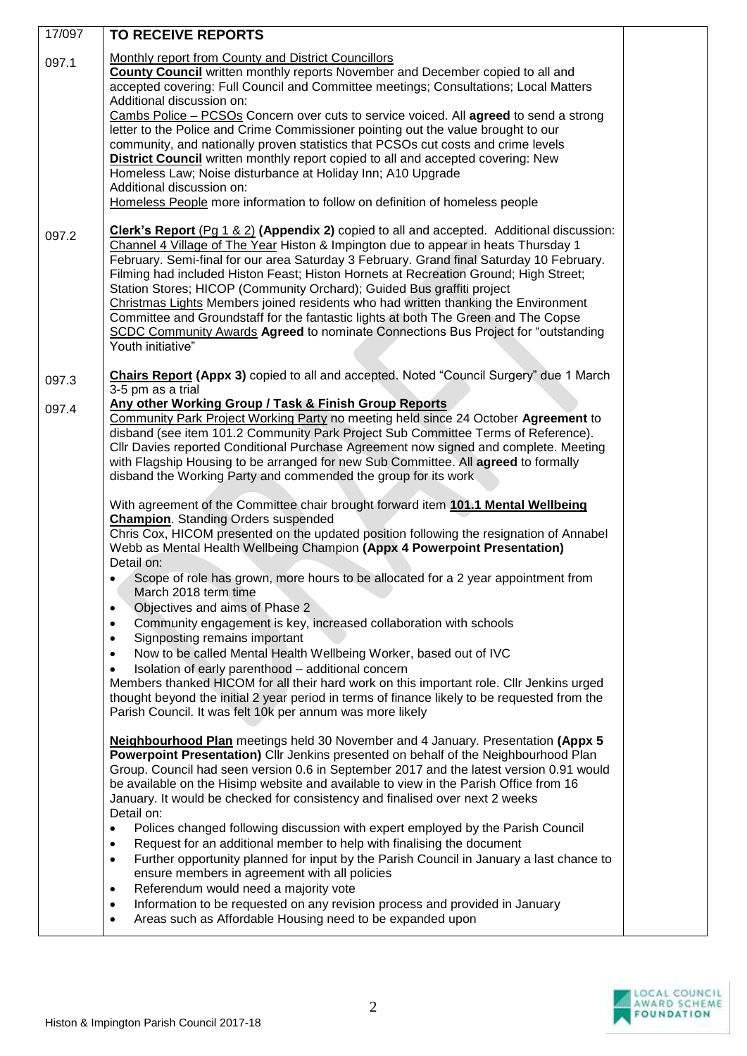| 17/097         | TO RECEIVE REPORTS                                                                                                                                                                                                                                                                                                                                                                                                                                                                                                                                                                                                                                                                                                                                                                                                                                                                                                                                                                                                                   |  |
|----------------|--------------------------------------------------------------------------------------------------------------------------------------------------------------------------------------------------------------------------------------------------------------------------------------------------------------------------------------------------------------------------------------------------------------------------------------------------------------------------------------------------------------------------------------------------------------------------------------------------------------------------------------------------------------------------------------------------------------------------------------------------------------------------------------------------------------------------------------------------------------------------------------------------------------------------------------------------------------------------------------------------------------------------------------|--|
| 097.1          | <b>Monthly report from County and District Councillors</b><br><b>County Council</b> written monthly reports November and December copied to all and<br>accepted covering: Full Council and Committee meetings; Consultations; Local Matters<br>Additional discussion on:<br>Cambs Police - PCSOs Concern over cuts to service voiced. All agreed to send a strong<br>letter to the Police and Crime Commissioner pointing out the value brought to our<br>community, and nationally proven statistics that PCSOs cut costs and crime levels<br>District Council written monthly report copied to all and accepted covering: New<br>Homeless Law; Noise disturbance at Holiday Inn; A10 Upgrade<br>Additional discussion on:<br>Homeless People more information to follow on definition of homeless people                                                                                                                                                                                                                           |  |
| 097.2          | Clerk's Report (Pg 1 & 2) (Appendix 2) copied to all and accepted. Additional discussion:<br>Channel 4 Village of The Year Histon & Impington due to appear in heats Thursday 1<br>February. Semi-final for our area Saturday 3 February. Grand final Saturday 10 February.<br>Filming had included Histon Feast; Histon Hornets at Recreation Ground; High Street;<br>Station Stores; HICOP (Community Orchard); Guided Bus graffiti project<br>Christmas Lights Members joined residents who had written thanking the Environment<br>Committee and Groundstaff for the fantastic lights at both The Green and The Copse<br>SCDC Community Awards Agreed to nominate Connections Bus Project for "outstanding<br>Youth initiative"                                                                                                                                                                                                                                                                                                  |  |
| 097.3<br>097.4 | Chairs Report (Appx 3) copied to all and accepted. Noted "Council Surgery" due 1 March<br>3-5 pm as a trial<br>Any other Working Group / Task & Finish Group Reports<br>Community Park Project Working Party no meeting held since 24 October Agreement to<br>disband (see item 101.2 Community Park Project Sub Committee Terms of Reference).<br>CIIr Davies reported Conditional Purchase Agreement now signed and complete. Meeting<br>with Flagship Housing to be arranged for new Sub Committee. All agreed to formally<br>disband the Working Party and commended the group for its work                                                                                                                                                                                                                                                                                                                                                                                                                                      |  |
|                | With agreement of the Committee chair brought forward item 101.1 Mental Wellbeing<br><b>Champion.</b> Standing Orders suspended<br>Chris Cox, HICOM presented on the updated position following the resignation of Annabel<br>Webb as Mental Health Wellbeing Champion (Appx 4 Powerpoint Presentation)<br>Detail on:<br>Scope of role has grown, more hours to be allocated for a 2 year appointment from                                                                                                                                                                                                                                                                                                                                                                                                                                                                                                                                                                                                                           |  |
|                | March 2018 term time<br>Objectives and aims of Phase 2<br>$\bullet$<br>Community engagement is key, increased collaboration with schools<br>$\bullet$<br>Signposting remains important<br>$\bullet$<br>Now to be called Mental Health Wellbeing Worker, based out of IVC<br>$\bullet$<br>Isolation of early parenthood - additional concern<br>Members thanked HICOM for all their hard work on this important role. Cllr Jenkins urged<br>thought beyond the initial 2 year period in terms of finance likely to be requested from the<br>Parish Council. It was felt 10k per annum was more likely                                                                                                                                                                                                                                                                                                                                                                                                                                 |  |
|                | Neighbourhood Plan meetings held 30 November and 4 January. Presentation (Appx 5<br>Powerpoint Presentation) Cllr Jenkins presented on behalf of the Neighbourhood Plan<br>Group. Council had seen version 0.6 in September 2017 and the latest version 0.91 would<br>be available on the Hisimp website and available to view in the Parish Office from 16<br>January. It would be checked for consistency and finalised over next 2 weeks<br>Detail on:<br>Polices changed following discussion with expert employed by the Parish Council<br>$\bullet$<br>Request for an additional member to help with finalising the document<br>$\bullet$<br>Further opportunity planned for input by the Parish Council in January a last chance to<br>$\bullet$<br>ensure members in agreement with all policies<br>Referendum would need a majority vote<br>$\bullet$<br>Information to be requested on any revision process and provided in January<br>$\bullet$<br>Areas such as Affordable Housing need to be expanded upon<br>$\bullet$ |  |

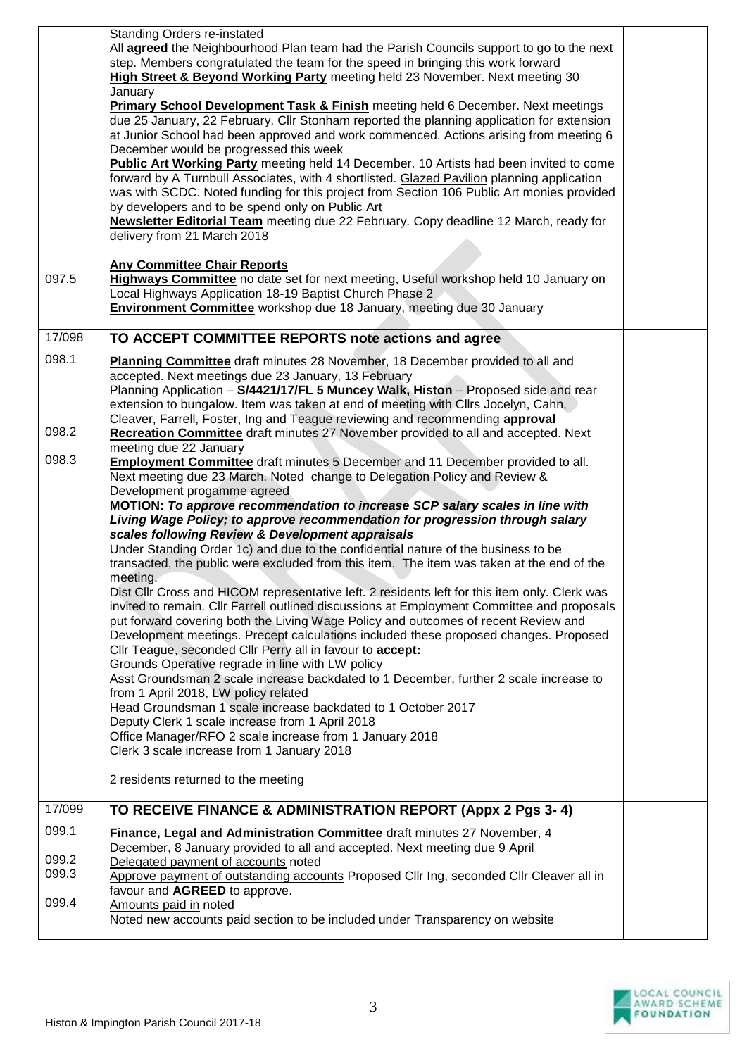|                         | Standing Orders re-instated<br>All agreed the Neighbourhood Plan team had the Parish Councils support to go to the next<br>step. Members congratulated the team for the speed in bringing this work forward<br>High Street & Beyond Working Party meeting held 23 November. Next meeting 30<br>January<br><b>Primary School Development Task &amp; Finish</b> meeting held 6 December. Next meetings<br>due 25 January, 22 February. Cllr Stonham reported the planning application for extension<br>at Junior School had been approved and work commenced. Actions arising from meeting 6<br>December would be progressed this week<br><b>Public Art Working Party</b> meeting held 14 December. 10 Artists had been invited to come<br>forward by A Turnbull Associates, with 4 shortlisted. Glazed Pavilion planning application<br>was with SCDC. Noted funding for this project from Section 106 Public Art monies provided<br>by developers and to be spend only on Public Art<br><b>Newsletter Editorial Team</b> meeting due 22 February. Copy deadline 12 March, ready for<br>delivery from 21 March 2018                                                                                                                                                                                                                                                                                                                                                                                             |  |
|-------------------------|----------------------------------------------------------------------------------------------------------------------------------------------------------------------------------------------------------------------------------------------------------------------------------------------------------------------------------------------------------------------------------------------------------------------------------------------------------------------------------------------------------------------------------------------------------------------------------------------------------------------------------------------------------------------------------------------------------------------------------------------------------------------------------------------------------------------------------------------------------------------------------------------------------------------------------------------------------------------------------------------------------------------------------------------------------------------------------------------------------------------------------------------------------------------------------------------------------------------------------------------------------------------------------------------------------------------------------------------------------------------------------------------------------------------------------------------------------------------------------------------------------------|--|
| 097.5                   | <b>Any Committee Chair Reports</b><br>Highways Committee no date set for next meeting, Useful workshop held 10 January on<br>Local Highways Application 18-19 Baptist Church Phase 2<br>Environment Committee workshop due 18 January, meeting due 30 January                                                                                                                                                                                                                                                                                                                                                                                                                                                                                                                                                                                                                                                                                                                                                                                                                                                                                                                                                                                                                                                                                                                                                                                                                                                  |  |
| 17/098                  | TO ACCEPT COMMITTEE REPORTS note actions and agree                                                                                                                                                                                                                                                                                                                                                                                                                                                                                                                                                                                                                                                                                                                                                                                                                                                                                                                                                                                                                                                                                                                                                                                                                                                                                                                                                                                                                                                             |  |
| 098.1                   | Planning Committee draft minutes 28 November, 18 December provided to all and<br>accepted. Next meetings due 23 January, 13 February<br>Planning Application - S/4421/17/FL 5 Muncey Walk, Histon - Proposed side and rear<br>extension to bungalow. Item was taken at end of meeting with Cllrs Jocelyn, Cahn,<br>Cleaver, Farrell, Foster, Ing and Teague reviewing and recommending approval                                                                                                                                                                                                                                                                                                                                                                                                                                                                                                                                                                                                                                                                                                                                                                                                                                                                                                                                                                                                                                                                                                                |  |
| 098.2                   | Recreation Committee draft minutes 27 November provided to all and accepted. Next<br>meeting due 22 January                                                                                                                                                                                                                                                                                                                                                                                                                                                                                                                                                                                                                                                                                                                                                                                                                                                                                                                                                                                                                                                                                                                                                                                                                                                                                                                                                                                                    |  |
| 098.3                   | Employment Committee draft minutes 5 December and 11 December provided to all.<br>Next meeting due 23 March. Noted change to Delegation Policy and Review &<br>Development progamme agreed<br>MOTION: To approve recommendation to increase SCP salary scales in line with<br>Living Wage Policy; to approve recommendation for progression through salary<br>scales following Review & Development appraisals<br>Under Standing Order 1c) and due to the confidential nature of the business to be<br>transacted, the public were excluded from this item. The item was taken at the end of the<br>meeting.<br>Dist Cllr Cross and HICOM representative left. 2 residents left for this item only. Clerk was<br>invited to remain. Cllr Farrell outlined discussions at Employment Committee and proposals<br>put forward covering both the Living Wage Policy and outcomes of recent Review and<br>Development meetings. Precept calculations included these proposed changes. Proposed<br>Cllr Teague, seconded Cllr Perry all in favour to accept:<br>Grounds Operative regrade in line with LW policy<br>Asst Groundsman 2 scale increase backdated to 1 December, further 2 scale increase to<br>from 1 April 2018, LW policy related<br>Head Groundsman 1 scale increase backdated to 1 October 2017<br>Deputy Clerk 1 scale increase from 1 April 2018<br>Office Manager/RFO 2 scale increase from 1 January 2018<br>Clerk 3 scale increase from 1 January 2018<br>2 residents returned to the meeting |  |
| 17/099                  | TO RECEIVE FINANCE & ADMINISTRATION REPORT (Appx 2 Pgs 3-4)                                                                                                                                                                                                                                                                                                                                                                                                                                                                                                                                                                                                                                                                                                                                                                                                                                                                                                                                                                                                                                                                                                                                                                                                                                                                                                                                                                                                                                                    |  |
| 099.1                   | Finance, Legal and Administration Committee draft minutes 27 November, 4                                                                                                                                                                                                                                                                                                                                                                                                                                                                                                                                                                                                                                                                                                                                                                                                                                                                                                                                                                                                                                                                                                                                                                                                                                                                                                                                                                                                                                       |  |
| 099.2<br>099.3<br>099.4 | December, 8 January provided to all and accepted. Next meeting due 9 April<br>Delegated payment of accounts noted<br>Approve payment of outstanding accounts Proposed Cllr Ing, seconded Cllr Cleaver all in<br>favour and AGREED to approve.<br>Amounts paid in noted<br>Noted new accounts paid section to be included under Transparency on website                                                                                                                                                                                                                                                                                                                                                                                                                                                                                                                                                                                                                                                                                                                                                                                                                                                                                                                                                                                                                                                                                                                                                         |  |

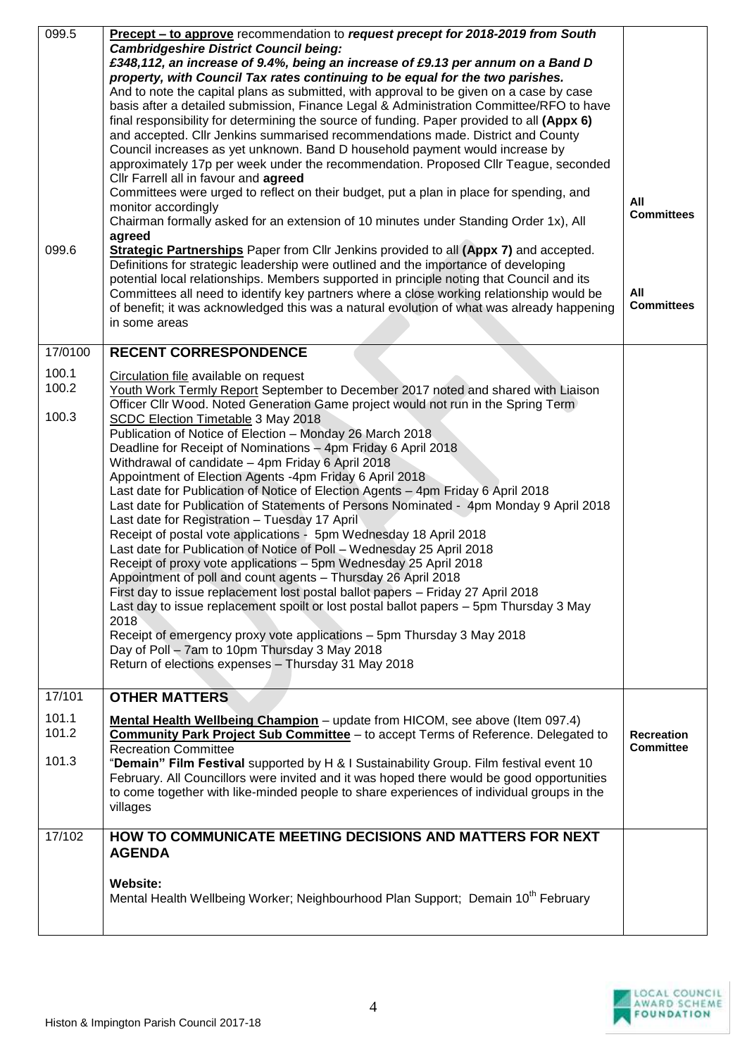| 099.5          | Precept - to approve recommendation to request precept for 2018-2019 from South<br><b>Cambridgeshire District Council being:</b><br>£348,112, an increase of 9.4%, being an increase of £9.13 per annum on a Band D<br>property, with Council Tax rates continuing to be equal for the two parishes.<br>And to note the capital plans as submitted, with approval to be given on a case by case<br>basis after a detailed submission, Finance Legal & Administration Committee/RFO to have<br>final responsibility for determining the source of funding. Paper provided to all (Appx 6)<br>and accepted. Cllr Jenkins summarised recommendations made. District and County<br>Council increases as yet unknown. Band D household payment would increase by<br>approximately 17p per week under the recommendation. Proposed Cllr Teague, seconded<br>Cllr Farrell all in favour and agreed<br>Committees were urged to reflect on their budget, put a plan in place for spending, and<br>monitor accordingly<br>Chairman formally asked for an extension of 10 minutes under Standing Order 1x), All                                                                           | All<br><b>Committees</b>              |
|----------------|---------------------------------------------------------------------------------------------------------------------------------------------------------------------------------------------------------------------------------------------------------------------------------------------------------------------------------------------------------------------------------------------------------------------------------------------------------------------------------------------------------------------------------------------------------------------------------------------------------------------------------------------------------------------------------------------------------------------------------------------------------------------------------------------------------------------------------------------------------------------------------------------------------------------------------------------------------------------------------------------------------------------------------------------------------------------------------------------------------------------------------------------------------------------------------|---------------------------------------|
| 099.6          | agreed<br>Strategic Partnerships Paper from Cllr Jenkins provided to all (Appx 7) and accepted.<br>Definitions for strategic leadership were outlined and the importance of developing<br>potential local relationships. Members supported in principle noting that Council and its<br>Committees all need to identify key partners where a close working relationship would be<br>of benefit; it was acknowledged this was a natural evolution of what was already happening<br>in some areas                                                                                                                                                                                                                                                                                                                                                                                                                                                                                                                                                                                                                                                                                  | All<br><b>Committees</b>              |
| 17/0100        | <b>RECENT CORRESPONDENCE</b>                                                                                                                                                                                                                                                                                                                                                                                                                                                                                                                                                                                                                                                                                                                                                                                                                                                                                                                                                                                                                                                                                                                                                    |                                       |
| 100.1<br>100.2 | Circulation file available on request                                                                                                                                                                                                                                                                                                                                                                                                                                                                                                                                                                                                                                                                                                                                                                                                                                                                                                                                                                                                                                                                                                                                           |                                       |
|                | Youth Work Termly Report September to December 2017 noted and shared with Liaison<br>Officer Cllr Wood. Noted Generation Game project would not run in the Spring Term                                                                                                                                                                                                                                                                                                                                                                                                                                                                                                                                                                                                                                                                                                                                                                                                                                                                                                                                                                                                          |                                       |
| 100.3          | <b>SCDC Election Timetable 3 May 2018</b><br>Publication of Notice of Election - Monday 26 March 2018<br>Deadline for Receipt of Nominations - 4pm Friday 6 April 2018<br>Withdrawal of candidate - 4pm Friday 6 April 2018<br>Appointment of Election Agents -4pm Friday 6 April 2018<br>Last date for Publication of Notice of Election Agents - 4pm Friday 6 April 2018<br>Last date for Publication of Statements of Persons Nominated - 4pm Monday 9 April 2018<br>Last date for Registration - Tuesday 17 April<br>Receipt of postal vote applications - 5pm Wednesday 18 April 2018<br>Last date for Publication of Notice of Poll - Wednesday 25 April 2018<br>Receipt of proxy vote applications - 5pm Wednesday 25 April 2018<br>Appointment of poll and count agents - Thursday 26 April 2018<br>First day to issue replacement lost postal ballot papers - Friday 27 April 2018<br>Last day to issue replacement spoilt or lost postal ballot papers - 5pm Thursday 3 May<br>2018<br>Receipt of emergency proxy vote applications - 5pm Thursday 3 May 2018<br>Day of Poll - 7am to 10pm Thursday 3 May 2018<br>Return of elections expenses - Thursday 31 May 2018 |                                       |
| 17/101         | <b>OTHER MATTERS</b>                                                                                                                                                                                                                                                                                                                                                                                                                                                                                                                                                                                                                                                                                                                                                                                                                                                                                                                                                                                                                                                                                                                                                            |                                       |
| 101.1<br>101.2 | Mental Health Wellbeing Champion - update from HICOM, see above (Item 097.4)<br>Community Park Project Sub Committee - to accept Terms of Reference. Delegated to<br><b>Recreation Committee</b>                                                                                                                                                                                                                                                                                                                                                                                                                                                                                                                                                                                                                                                                                                                                                                                                                                                                                                                                                                                | <b>Recreation</b><br><b>Committee</b> |
| 101.3          | "Demain" Film Festival supported by H & I Sustainability Group. Film festival event 10<br>February. All Councillors were invited and it was hoped there would be good opportunities<br>to come together with like-minded people to share experiences of individual groups in the<br>villages                                                                                                                                                                                                                                                                                                                                                                                                                                                                                                                                                                                                                                                                                                                                                                                                                                                                                    |                                       |
| 17/102         | HOW TO COMMUNICATE MEETING DECISIONS AND MATTERS FOR NEXT<br><b>AGENDA</b>                                                                                                                                                                                                                                                                                                                                                                                                                                                                                                                                                                                                                                                                                                                                                                                                                                                                                                                                                                                                                                                                                                      |                                       |
|                | Website:<br>Mental Health Wellbeing Worker; Neighbourhood Plan Support; Demain 10 <sup>th</sup> February                                                                                                                                                                                                                                                                                                                                                                                                                                                                                                                                                                                                                                                                                                                                                                                                                                                                                                                                                                                                                                                                        |                                       |